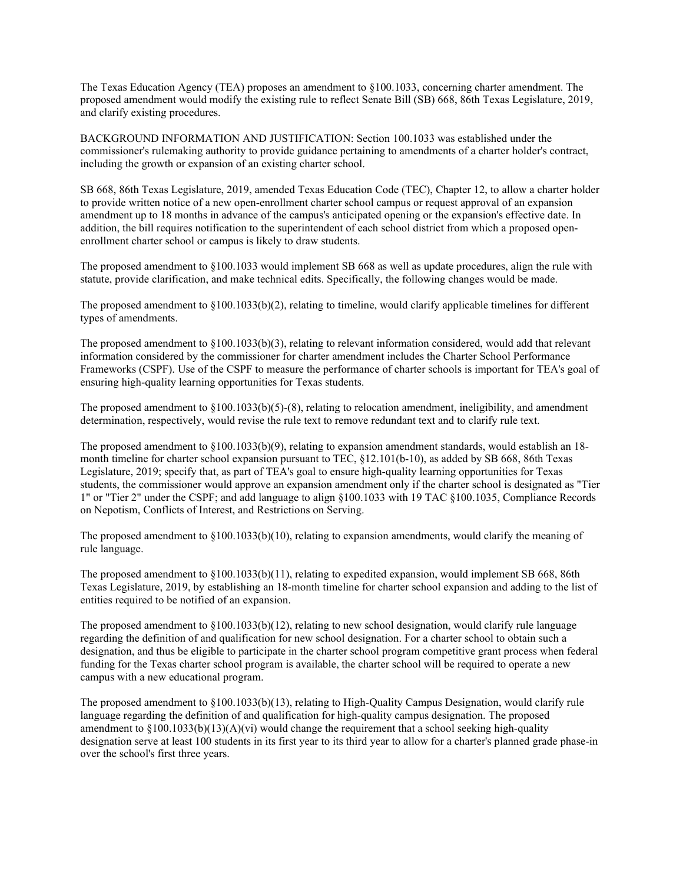The Texas Education Agency (TEA) proposes an amendment to §100.1033, concerning charter amendment. The proposed amendment would modify the existing rule to reflect Senate Bill (SB) 668, 86th Texas Legislature, 2019, and clarify existing procedures.

BACKGROUND INFORMATION AND JUSTIFICATION: Section 100.1033 was established under the commissioner's rulemaking authority to provide guidance pertaining to amendments of a charter holder's contract, including the growth or expansion of an existing charter school.

SB 668, 86th Texas Legislature, 2019, amended Texas Education Code (TEC), Chapter 12, to allow a charter holder to provide written notice of a new open-enrollment charter school campus or request approval of an expansion amendment up to 18 months in advance of the campus's anticipated opening or the expansion's effective date. In addition, the bill requires notification to the superintendent of each school district from which a proposed openenrollment charter school or campus is likely to draw students.

The proposed amendment to §100.1033 would implement SB 668 as well as update procedures, align the rule with statute, provide clarification, and make technical edits. Specifically, the following changes would be made.

The proposed amendment to  $\S100.1033(b)(2)$ , relating to timeline, would clarify applicable timelines for different types of amendments.

The proposed amendment to §100.1033(b)(3), relating to relevant information considered, would add that relevant information considered by the commissioner for charter amendment includes the Charter School Performance Frameworks (CSPF). Use of the CSPF to measure the performance of charter schools is important for TEA's goal of ensuring high-quality learning opportunities for Texas students.

The proposed amendment to  $\S100.1033(b)(5)-(8)$ , relating to relocation amendment, ineligibility, and amendment determination, respectively, would revise the rule text to remove redundant text and to clarify rule text.

The proposed amendment to §100.1033(b)(9), relating to expansion amendment standards, would establish an 18 month timeline for charter school expansion pursuant to TEC, §12.101(b-10), as added by SB 668, 86th Texas Legislature, 2019; specify that, as part of TEA's goal to ensure high-quality learning opportunities for Texas students, the commissioner would approve an expansion amendment only if the charter school is designated as "Tier 1" or "Tier 2" under the CSPF; and add language to align §100.1033 with 19 TAC §100.1035, Compliance Records on Nepotism, Conflicts of Interest, and Restrictions on Serving.

The proposed amendment to  $\S100.1033(b)(10)$ , relating to expansion amendments, would clarify the meaning of rule language.

The proposed amendment to §100.1033(b)(11), relating to expedited expansion, would implement SB 668, 86th Texas Legislature, 2019, by establishing an 18-month timeline for charter school expansion and adding to the list of entities required to be notified of an expansion.

The proposed amendment to  $\S 100.1033(b)(12)$ , relating to new school designation, would clarify rule language regarding the definition of and qualification for new school designation. For a charter school to obtain such a designation, and thus be eligible to participate in the charter school program competitive grant process when federal funding for the Texas charter school program is available, the charter school will be required to operate a new campus with a new educational program.

The proposed amendment to §100.1033(b)(13), relating to High-Quality Campus Designation, would clarify rule language regarding the definition of and qualification for high-quality campus designation. The proposed amendment to  $\S100.1033(b)(13)(A)(vi)$  would change the requirement that a school seeking high-quality designation serve at least 100 students in its first year to its third year to allow for a charter's planned grade phase-in over the school's first three years.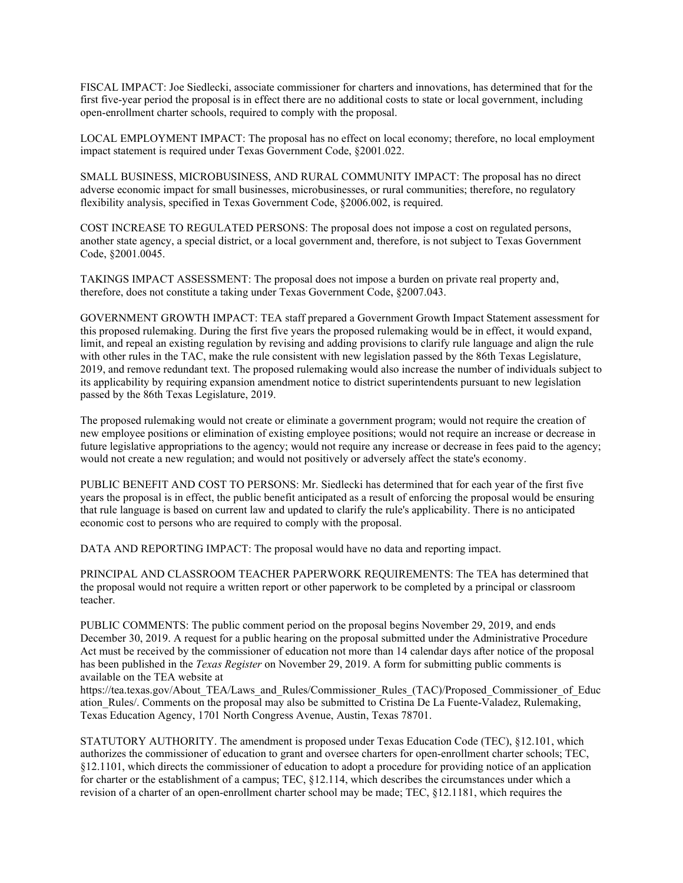FISCAL IMPACT: Joe Siedlecki, associate commissioner for charters and innovations, has determined that for the first five-year period the proposal is in effect there are no additional costs to state or local government, including open-enrollment charter schools, required to comply with the proposal.

LOCAL EMPLOYMENT IMPACT: The proposal has no effect on local economy; therefore, no local employment impact statement is required under Texas Government Code, §2001.022.

SMALL BUSINESS, MICROBUSINESS, AND RURAL COMMUNITY IMPACT: The proposal has no direct adverse economic impact for small businesses, microbusinesses, or rural communities; therefore, no regulatory flexibility analysis, specified in Texas Government Code, §2006.002, is required.

COST INCREASE TO REGULATED PERSONS: The proposal does not impose a cost on regulated persons, another state agency, a special district, or a local government and, therefore, is not subject to Texas Government Code, §2001.0045.

TAKINGS IMPACT ASSESSMENT: The proposal does not impose a burden on private real property and, therefore, does not constitute a taking under Texas Government Code, §2007.043.

GOVERNMENT GROWTH IMPACT: TEA staff prepared a Government Growth Impact Statement assessment for this proposed rulemaking. During the first five years the proposed rulemaking would be in effect, it would expand, limit, and repeal an existing regulation by revising and adding provisions to clarify rule language and align the rule with other rules in the TAC, make the rule consistent with new legislation passed by the 86th Texas Legislature, 2019, and remove redundant text. The proposed rulemaking would also increase the number of individuals subject to its applicability by requiring expansion amendment notice to district superintendents pursuant to new legislation passed by the 86th Texas Legislature, 2019.

The proposed rulemaking would not create or eliminate a government program; would not require the creation of new employee positions or elimination of existing employee positions; would not require an increase or decrease in future legislative appropriations to the agency; would not require any increase or decrease in fees paid to the agency; would not create a new regulation; and would not positively or adversely affect the state's economy.

PUBLIC BENEFIT AND COST TO PERSONS: Mr. Siedlecki has determined that for each year of the first five years the proposal is in effect, the public benefit anticipated as a result of enforcing the proposal would be ensuring that rule language is based on current law and updated to clarify the rule's applicability. There is no anticipated economic cost to persons who are required to comply with the proposal.

DATA AND REPORTING IMPACT: The proposal would have no data and reporting impact.

PRINCIPAL AND CLASSROOM TEACHER PAPERWORK REQUIREMENTS: The TEA has determined that the proposal would not require a written report or other paperwork to be completed by a principal or classroom teacher.

PUBLIC COMMENTS: The public comment period on the proposal begins November 29, 2019, and ends December 30, 2019. A request for a public hearing on the proposal submitted under the Administrative Procedure Act must be received by the commissioner of education not more than 14 calendar days after notice of the proposal has been published in the *Texas Register* on November 29, 2019. A form for submitting public comments is available on the TEA website at

https://tea.texas.gov/About\_TEA/Laws\_and\_Rules/Commissioner\_Rules\_(TAC)/Proposed\_Commissioner\_of\_Educ ation\_Rules/. Comments on the proposal may also be submitted to Cristina De La Fuente-Valadez, Rulemaking, Texas Education Agency, 1701 North Congress Avenue, Austin, Texas 78701.

STATUTORY AUTHORITY. The amendment is proposed under Texas Education Code (TEC), §12.101, which authorizes the commissioner of education to grant and oversee charters for open-enrollment charter schools; TEC, §12.1101, which directs the commissioner of education to adopt a procedure for providing notice of an application for charter or the establishment of a campus; TEC, §12.114, which describes the circumstances under which a revision of a charter of an open-enrollment charter school may be made; TEC, §12.1181, which requires the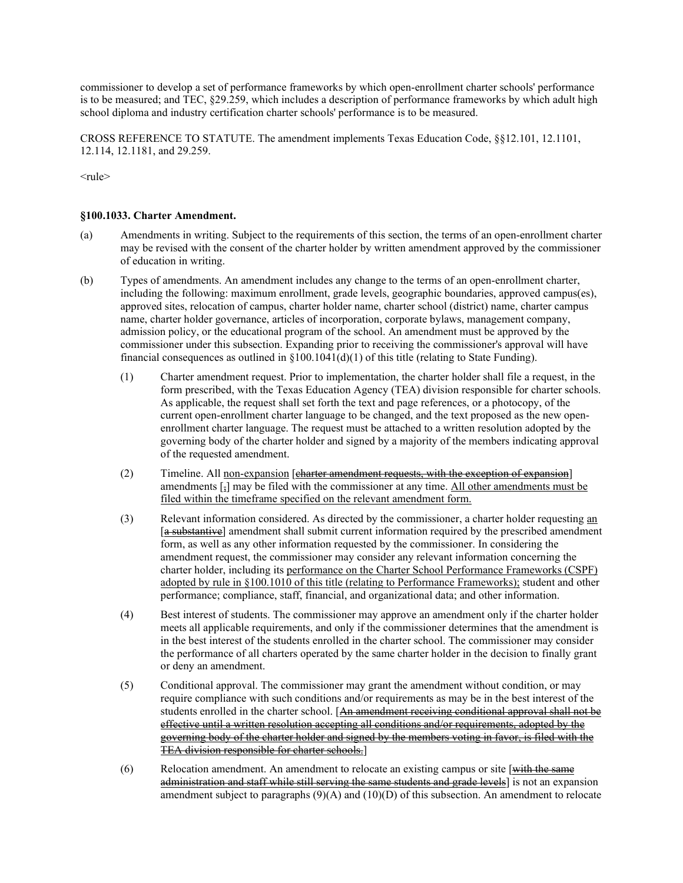commissioner to develop a set of performance frameworks by which open-enrollment charter schools' performance is to be measured; and TEC, §29.259, which includes a description of performance frameworks by which adult high school diploma and industry certification charter schools' performance is to be measured.

CROSS REFERENCE TO STATUTE. The amendment implements Texas Education Code, §§12.101, 12.1101, 12.114, 12.1181, and 29.259.

<rule>

## **§100.1033. Charter Amendment.**

- (a) Amendments in writing. Subject to the requirements of this section, the terms of an open-enrollment charter may be revised with the consent of the charter holder by written amendment approved by the commissioner of education in writing.
- (b) Types of amendments. An amendment includes any change to the terms of an open-enrollment charter, including the following: maximum enrollment, grade levels, geographic boundaries, approved campus(es), approved sites, relocation of campus, charter holder name, charter school (district) name, charter campus name, charter holder governance, articles of incorporation, corporate bylaws, management company, admission policy, or the educational program of the school. An amendment must be approved by the commissioner under this subsection. Expanding prior to receiving the commissioner's approval will have financial consequences as outlined in  $\S 100.1041(d)(1)$  of this title (relating to State Funding).
	- (1) Charter amendment request. Prior to implementation, the charter holder shall file a request, in the form prescribed, with the Texas Education Agency (TEA) division responsible for charter schools. As applicable, the request shall set forth the text and page references, or a photocopy, of the current open-enrollment charter language to be changed, and the text proposed as the new openenrollment charter language. The request must be attached to a written resolution adopted by the governing body of the charter holder and signed by a majority of the members indicating approval of the requested amendment.
	- (2) Timeline. All non-expansion [charter amendment requests, with the exception of expansion] amendments  $\lceil \cdot \rceil$  may be filed with the commissioner at any time. All other amendments must be filed within the timeframe specified on the relevant amendment form.
	- (3) Relevant information considered. As directed by the commissioner, a charter holder requesting an [a substantive] amendment shall submit current information required by the prescribed amendment form, as well as any other information requested by the commissioner. In considering the amendment request, the commissioner may consider any relevant information concerning the charter holder, including its performance on the Charter School Performance Frameworks (CSPF) adopted by rule in §100.1010 of this title (relating to Performance Frameworks); student and other performance; compliance, staff, financial, and organizational data; and other information.
	- (4) Best interest of students. The commissioner may approve an amendment only if the charter holder meets all applicable requirements, and only if the commissioner determines that the amendment is in the best interest of the students enrolled in the charter school. The commissioner may consider the performance of all charters operated by the same charter holder in the decision to finally grant or deny an amendment.
	- (5) Conditional approval. The commissioner may grant the amendment without condition, or may require compliance with such conditions and/or requirements as may be in the best interest of the students enrolled in the charter school. [An amendment receiving conditional approval shall not be effective until a written resolution accepting all conditions and/or requirements, adopted by the governing body of the charter holder and signed by the members voting in favor, is filed with the TEA division responsible for charter schools.]
	- $(6)$  Relocation amendment. An amendment to relocate an existing campus or site [with the same administration and staff while still serving the same students and grade levels] is not an expansion amendment subject to paragraphs (9)(A) and (10)(D) of this subsection. An amendment to relocate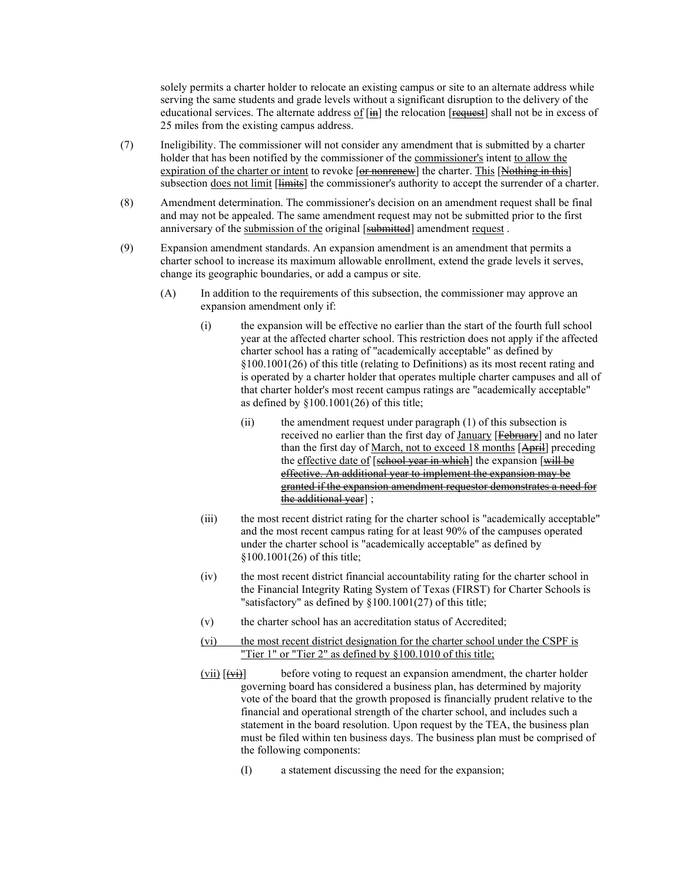solely permits a charter holder to relocate an existing campus or site to an alternate address while serving the same students and grade levels without a significant disruption to the delivery of the educational services. The alternate address of [in] the relocation [request] shall not be in excess of 25 miles from the existing campus address.

- (7) Ineligibility. The commissioner will not consider any amendment that is submitted by a charter holder that has been notified by the commissioner of the commissioner's intent to allow the expiration of the charter or intent to revoke [or nonrenew] the charter. This [Nothing in this] subsection does not limit [limits] the commissioner's authority to accept the surrender of a charter.
- (8) Amendment determination. The commissioner's decision on an amendment request shall be final and may not be appealed. The same amendment request may not be submitted prior to the first anniversary of the submission of the original [submitted] amendment request.
- (9) Expansion amendment standards. An expansion amendment is an amendment that permits a charter school to increase its maximum allowable enrollment, extend the grade levels it serves, change its geographic boundaries, or add a campus or site.
	- (A) In addition to the requirements of this subsection, the commissioner may approve an expansion amendment only if:
		- (i) the expansion will be effective no earlier than the start of the fourth full school year at the affected charter school. This restriction does not apply if the affected charter school has a rating of "academically acceptable" as defined by §100.1001(26) of this title (relating to Definitions) as its most recent rating and is operated by a charter holder that operates multiple charter campuses and all of that charter holder's most recent campus ratings are "academically acceptable" as defined by §100.1001(26) of this title;
			- (ii) the amendment request under paragraph (1) of this subsection is received no earlier than the first day of **January** [February] and no later than the first day of March, not to exceed 18 months [April] preceding the effective date of [sehool year in which] the expansion [will be effective. An additional year to implement the expansion may be granted if the expansion amendment requestor demonstrates a need for the additional year] ;
		- (iii) the most recent district rating for the charter school is "academically acceptable" and the most recent campus rating for at least 90% of the campuses operated under the charter school is "academically acceptable" as defined by §100.1001(26) of this title;
		- (iv) the most recent district financial accountability rating for the charter school in the Financial Integrity Rating System of Texas (FIRST) for Charter Schools is "satisfactory" as defined by §100.1001(27) of this title;
		- (v) the charter school has an accreditation status of Accredited;
		- (vi) the most recent district designation for the charter school under the CSPF is "Tier 1" or "Tier 2" as defined by  $$100.1010$  of this title;
		- $(vii)$  [ $(vii)$ ] before voting to request an expansion amendment, the charter holder governing board has considered a business plan, has determined by majority vote of the board that the growth proposed is financially prudent relative to the financial and operational strength of the charter school, and includes such a statement in the board resolution. Upon request by the TEA, the business plan must be filed within ten business days. The business plan must be comprised of the following components:
			- (I) a statement discussing the need for the expansion;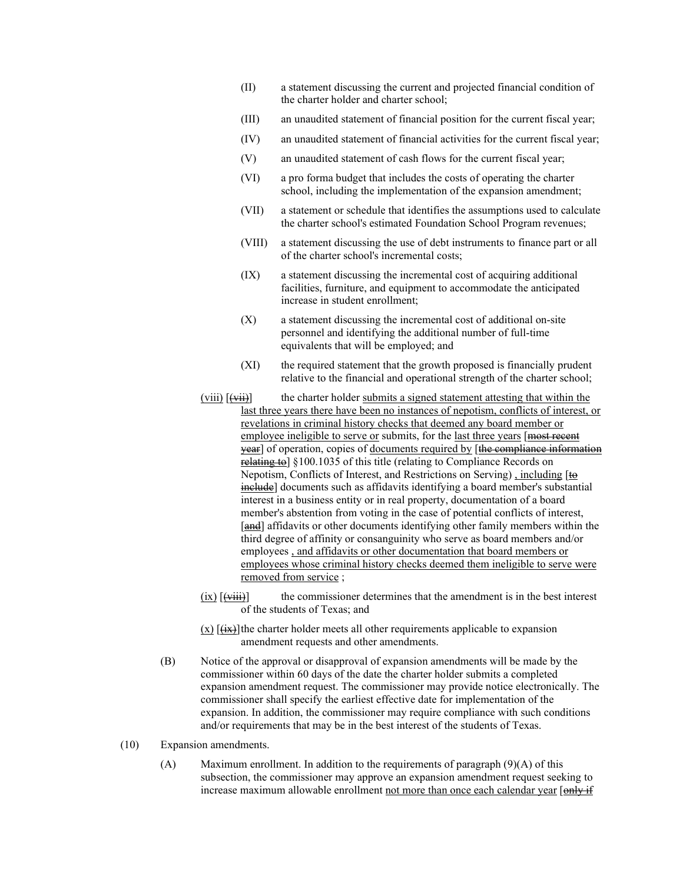- (II) a statement discussing the current and projected financial condition of the charter holder and charter school;
- (III) an unaudited statement of financial position for the current fiscal year;
- (IV) an unaudited statement of financial activities for the current fiscal year;
- (V) an unaudited statement of cash flows for the current fiscal year;
- (VI) a pro forma budget that includes the costs of operating the charter school, including the implementation of the expansion amendment;
- (VII) a statement or schedule that identifies the assumptions used to calculate the charter school's estimated Foundation School Program revenues;
- (VIII) a statement discussing the use of debt instruments to finance part or all of the charter school's incremental costs;
- (IX) a statement discussing the incremental cost of acquiring additional facilities, furniture, and equipment to accommodate the anticipated increase in student enrollment;
- (X) a statement discussing the incremental cost of additional on-site personnel and identifying the additional number of full-time equivalents that will be employed; and
- (XI) the required statement that the growth proposed is financially prudent relative to the financial and operational strength of the charter school;
- $(viii)$  [ $(viii)$ ] the charter holder submits a signed statement attesting that within the last three years there have been no instances of nepotism, conflicts of interest, or revelations in criminal history checks that deemed any board member or employee ineligible to serve or submits, for the last three years [most recent year] of operation, copies of documents required by [the compliance information relating to] §100.1035 of this title (relating to Compliance Records on Nepotism, Conflicts of Interest, and Restrictions on Serving), including [to include] documents such as affidavits identifying a board member's substantial interest in a business entity or in real property, documentation of a board member's abstention from voting in the case of potential conflicts of interest, [and] affidavits or other documents identifying other family members within the third degree of affinity or consanguinity who serve as board members and/or employees , and affidavits or other documentation that board members or employees whose criminal history checks deemed them ineligible to serve were removed from service ;
- $(ix)$  [ $(xiiii)$ ] the commissioner determines that the amendment is in the best interest of the students of Texas; and
- $(x)$   $(\frac{f(x)}{g(x)})$  the charter holder meets all other requirements applicable to expansion amendment requests and other amendments.
- (B) Notice of the approval or disapproval of expansion amendments will be made by the commissioner within 60 days of the date the charter holder submits a completed expansion amendment request. The commissioner may provide notice electronically. The commissioner shall specify the earliest effective date for implementation of the expansion. In addition, the commissioner may require compliance with such conditions and/or requirements that may be in the best interest of the students of Texas.
- (10) Expansion amendments.
	- (A) Maximum enrollment. In addition to the requirements of paragraph (9)(A) of this subsection, the commissioner may approve an expansion amendment request seeking to increase maximum allowable enrollment not more than once each calendar year  $[\frac{\text{only if}}{\text{only if}}]$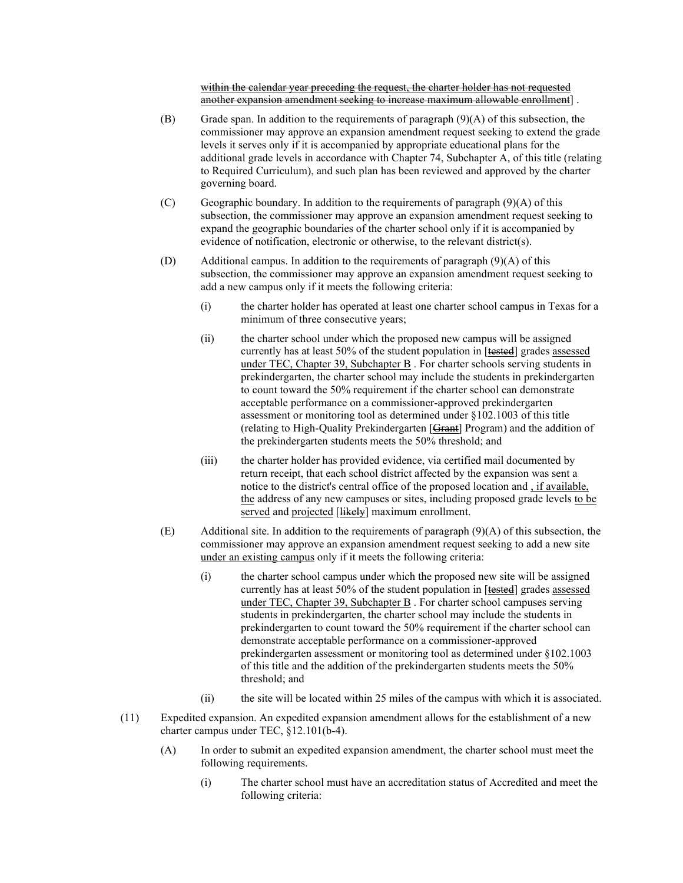within the calendar year preceding the request, the charter holder has not requested another expansion amendment seeking to increase maximum allowable enrollment] .

- (B) Grade span. In addition to the requirements of paragraph (9)(A) of this subsection, the commissioner may approve an expansion amendment request seeking to extend the grade levels it serves only if it is accompanied by appropriate educational plans for the additional grade levels in accordance with Chapter 74, Subchapter A, of this title (relating to Required Curriculum), and such plan has been reviewed and approved by the charter governing board.
- $(C)$  Geographic boundary. In addition to the requirements of paragraph  $(9)(A)$  of this subsection, the commissioner may approve an expansion amendment request seeking to expand the geographic boundaries of the charter school only if it is accompanied by evidence of notification, electronic or otherwise, to the relevant district(s).
- (D) Additional campus. In addition to the requirements of paragraph (9)(A) of this subsection, the commissioner may approve an expansion amendment request seeking to add a new campus only if it meets the following criteria:
	- (i) the charter holder has operated at least one charter school campus in Texas for a minimum of three consecutive years;
	- (ii) the charter school under which the proposed new campus will be assigned currently has at least 50% of the student population in [tested] grades assessed under TEC, Chapter 39, Subchapter B . For charter schools serving students in prekindergarten, the charter school may include the students in prekindergarten to count toward the 50% requirement if the charter school can demonstrate acceptable performance on a commissioner-approved prekindergarten assessment or monitoring tool as determined under §102.1003 of this title (relating to High-Quality Prekindergarten [Grant] Program) and the addition of the prekindergarten students meets the 50% threshold; and
	- (iii) the charter holder has provided evidence, via certified mail documented by return receipt, that each school district affected by the expansion was sent a notice to the district's central office of the proposed location and , if available, the address of any new campuses or sites, including proposed grade levels to be served and projected [likely] maximum enrollment.
- (E) Additional site. In addition to the requirements of paragraph (9)(A) of this subsection, the commissioner may approve an expansion amendment request seeking to add a new site under an existing campus only if it meets the following criteria:
	- (i) the charter school campus under which the proposed new site will be assigned currently has at least 50% of the student population in [tested] grades assessed under TEC, Chapter 39, Subchapter B. For charter school campuses serving students in prekindergarten, the charter school may include the students in prekindergarten to count toward the 50% requirement if the charter school can demonstrate acceptable performance on a commissioner-approved prekindergarten assessment or monitoring tool as determined under §102.1003 of this title and the addition of the prekindergarten students meets the 50% threshold; and
	- (ii) the site will be located within 25 miles of the campus with which it is associated.
- (11) Expedited expansion. An expedited expansion amendment allows for the establishment of a new charter campus under TEC, §12.101(b-4).
	- (A) In order to submit an expedited expansion amendment, the charter school must meet the following requirements.
		- (i) The charter school must have an accreditation status of Accredited and meet the following criteria: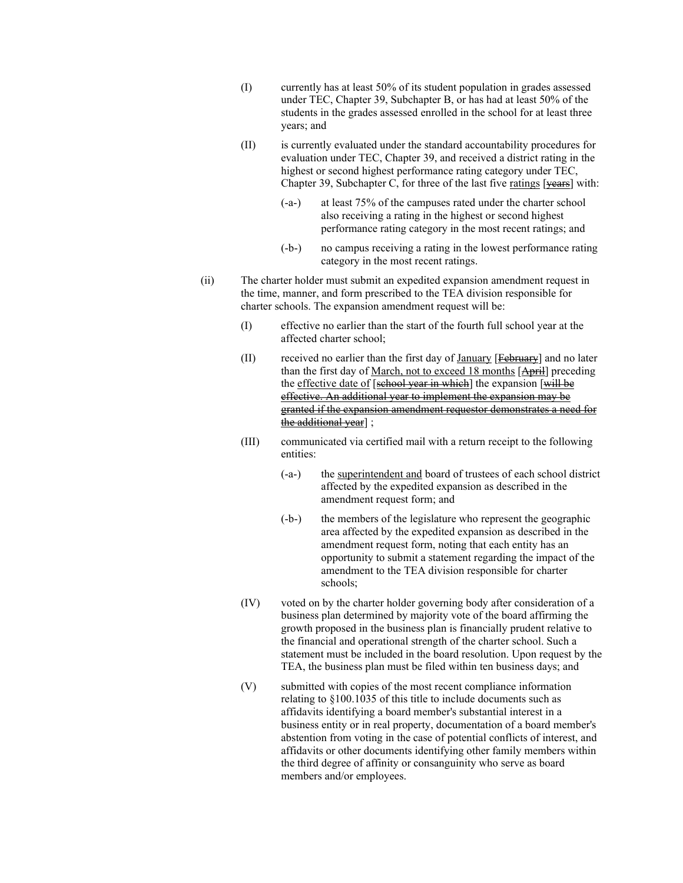- (I) currently has at least 50% of its student population in grades assessed under TEC, Chapter 39, Subchapter B, or has had at least 50% of the students in the grades assessed enrolled in the school for at least three years; and
- (II) is currently evaluated under the standard accountability procedures for evaluation under TEC, Chapter 39, and received a district rating in the highest or second highest performance rating category under TEC, Chapter 39, Subchapter C, for three of the last five ratings [years] with:
	- (-a-) at least 75% of the campuses rated under the charter school also receiving a rating in the highest or second highest performance rating category in the most recent ratings; and
	- (-b-) no campus receiving a rating in the lowest performance rating category in the most recent ratings.
- (ii) The charter holder must submit an expedited expansion amendment request in the time, manner, and form prescribed to the TEA division responsible for charter schools. The expansion amendment request will be:
	- (I) effective no earlier than the start of the fourth full school year at the affected charter school;
	- $(II)$  received no earlier than the first day of January [ $February$ ] and no later than the first day of March, not to exceed 18 months [April] preceding the effective date of [school year in which] the expansion [will be effective. An additional year to implement the expansion may be granted if the expansion amendment requestor demonstrates a need for the additional year] ;
	- (III) communicated via certified mail with a return receipt to the following entities:
		- (-a-) the superintendent and board of trustees of each school district affected by the expedited expansion as described in the amendment request form; and
		- (-b-) the members of the legislature who represent the geographic area affected by the expedited expansion as described in the amendment request form, noting that each entity has an opportunity to submit a statement regarding the impact of the amendment to the TEA division responsible for charter schools;
	- (IV) voted on by the charter holder governing body after consideration of a business plan determined by majority vote of the board affirming the growth proposed in the business plan is financially prudent relative to the financial and operational strength of the charter school. Such a statement must be included in the board resolution. Upon request by the TEA, the business plan must be filed within ten business days; and
	- (V) submitted with copies of the most recent compliance information relating to §100.1035 of this title to include documents such as affidavits identifying a board member's substantial interest in a business entity or in real property, documentation of a board member's abstention from voting in the case of potential conflicts of interest, and affidavits or other documents identifying other family members within the third degree of affinity or consanguinity who serve as board members and/or employees.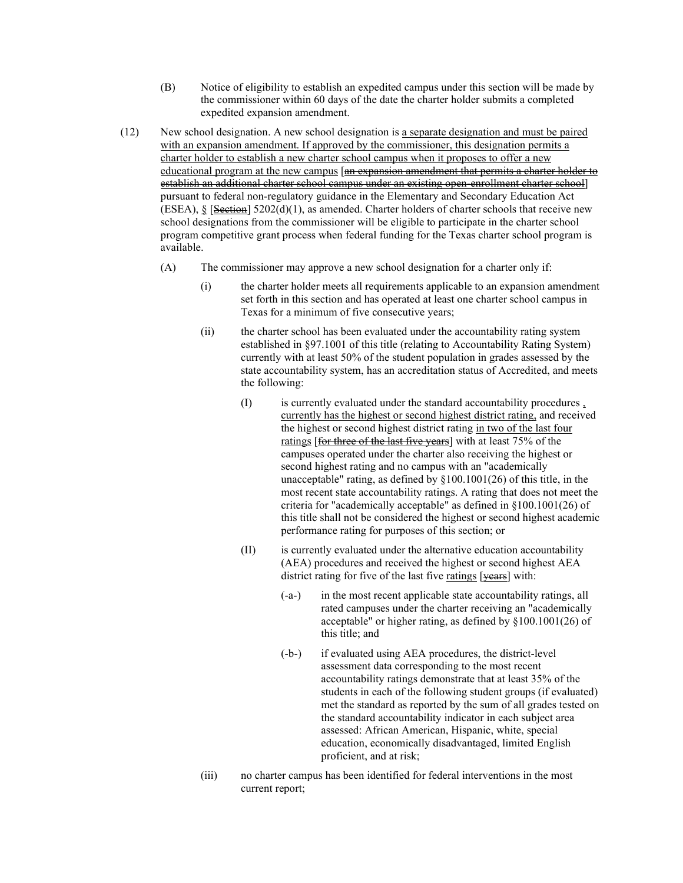- (B) Notice of eligibility to establish an expedited campus under this section will be made by the commissioner within 60 days of the date the charter holder submits a completed expedited expansion amendment.
- (12) New school designation. A new school designation is a separate designation and must be paired with an expansion amendment. If approved by the commissioner, this designation permits a charter holder to establish a new charter school campus when it proposes to offer a new educational program at the new campus [an expansion amendment that permits a charter holder to establish an additional charter school campus under an existing open-enrollment charter school] pursuant to federal non-regulatory guidance in the Elementary and Secondary Education Act (ESEA),  $\S$  [Section] 5202(d)(1), as amended. Charter holders of charter schools that receive new school designations from the commissioner will be eligible to participate in the charter school program competitive grant process when federal funding for the Texas charter school program is available.
	- (A) The commissioner may approve a new school designation for a charter only if:
		- (i) the charter holder meets all requirements applicable to an expansion amendment set forth in this section and has operated at least one charter school campus in Texas for a minimum of five consecutive years;
		- (ii) the charter school has been evaluated under the accountability rating system established in §97.1001 of this title (relating to Accountability Rating System) currently with at least 50% of the student population in grades assessed by the state accountability system, has an accreditation status of Accredited, and meets the following:
			- (I) is currently evaluated under the standard accountability procedures , currently has the highest or second highest district rating, and received the highest or second highest district rating in two of the last four ratings [for three of the last five years] with at least 75% of the campuses operated under the charter also receiving the highest or second highest rating and no campus with an "academically unacceptable" rating, as defined by §100.1001(26) of this title, in the most recent state accountability ratings. A rating that does not meet the criteria for "academically acceptable" as defined in §100.1001(26) of this title shall not be considered the highest or second highest academic performance rating for purposes of this section; or
			- (II) is currently evaluated under the alternative education accountability (AEA) procedures and received the highest or second highest AEA district rating for five of the last five ratings [years] with:
				- (-a-) in the most recent applicable state accountability ratings, all rated campuses under the charter receiving an "academically acceptable" or higher rating, as defined by §100.1001(26) of this title; and
				- (-b-) if evaluated using AEA procedures, the district-level assessment data corresponding to the most recent accountability ratings demonstrate that at least 35% of the students in each of the following student groups (if evaluated) met the standard as reported by the sum of all grades tested on the standard accountability indicator in each subject area assessed: African American, Hispanic, white, special education, economically disadvantaged, limited English proficient, and at risk;
		- (iii) no charter campus has been identified for federal interventions in the most current report;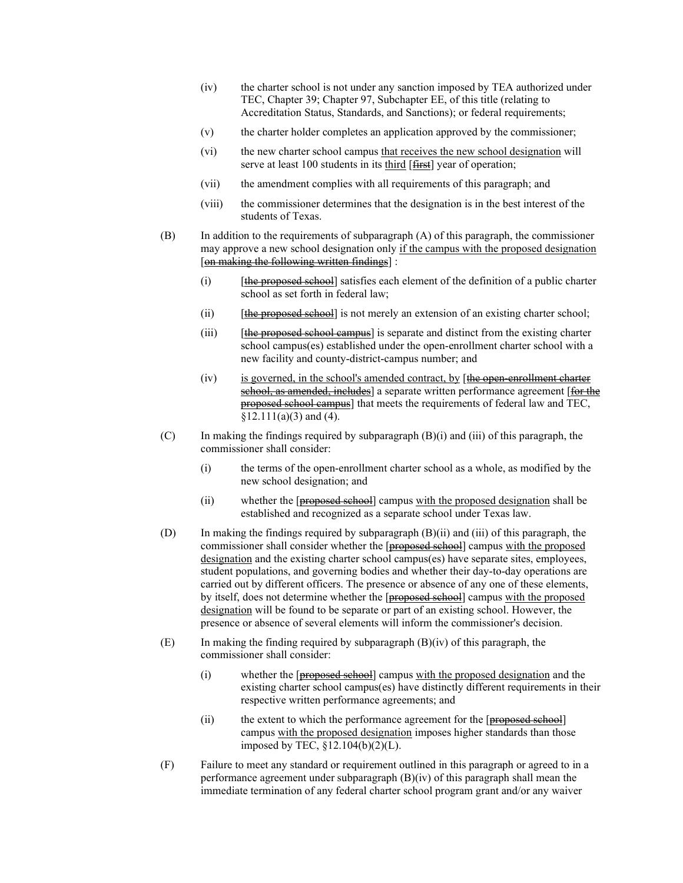- (iv) the charter school is not under any sanction imposed by TEA authorized under TEC, Chapter 39; Chapter 97, Subchapter EE, of this title (relating to Accreditation Status, Standards, and Sanctions); or federal requirements;
- (v) the charter holder completes an application approved by the commissioner;
- (vi) the new charter school campus that receives the new school designation will serve at least 100 students in its third [first] year of operation;
- (vii) the amendment complies with all requirements of this paragraph; and
- (viii) the commissioner determines that the designation is in the best interest of the students of Texas.
- (B) In addition to the requirements of subparagraph (A) of this paragraph, the commissioner may approve a new school designation only if the campus with the proposed designation [on making the following written findings] :
	- (i)  $[the$  proposed school satisfies each element of the definition of a public charter school as set forth in federal law;
	- (ii)  $[the$  proposed school] is not merely an extension of an existing charter school;
	- (iii) [the proposed school campus] is separate and distinct from the existing charter school campus(es) established under the open-enrollment charter school with a new facility and county-district-campus number; and
	- (iv) is governed, in the school's amended contract, by [the open-enrollment charter school, as amended, includes] a separate written performance agreement [for the proposed school campus] that meets the requirements of federal law and TEC,  $$12.111(a)(3)$  and (4).
- (C) In making the findings required by subparagraph (B)(i) and (iii) of this paragraph, the commissioner shall consider:
	- (i) the terms of the open-enrollment charter school as a whole, as modified by the new school designation; and
	- (ii) whether the [proposed school] campus with the proposed designation shall be established and recognized as a separate school under Texas law.
- (D) In making the findings required by subparagraph (B)(ii) and (iii) of this paragraph, the commissioner shall consider whether the [proposed school] campus with the proposed designation and the existing charter school campus(es) have separate sites, employees, student populations, and governing bodies and whether their day-to-day operations are carried out by different officers. The presence or absence of any one of these elements, by itself, does not determine whether the [proposed school] campus with the proposed designation will be found to be separate or part of an existing school. However, the presence or absence of several elements will inform the commissioner's decision.
- $(E)$  In making the finding required by subparagraph  $(B)(iv)$  of this paragraph, the commissioner shall consider:
	- (i) whether the [**proposed school**] campus with the proposed designation and the existing charter school campus(es) have distinctly different requirements in their respective written performance agreements; and
	- (ii) the extent to which the performance agreement for the [proposed school] campus with the proposed designation imposes higher standards than those imposed by TEC, §12.104(b)(2)(L).
- (F) Failure to meet any standard or requirement outlined in this paragraph or agreed to in a performance agreement under subparagraph (B)(iv) of this paragraph shall mean the immediate termination of any federal charter school program grant and/or any waiver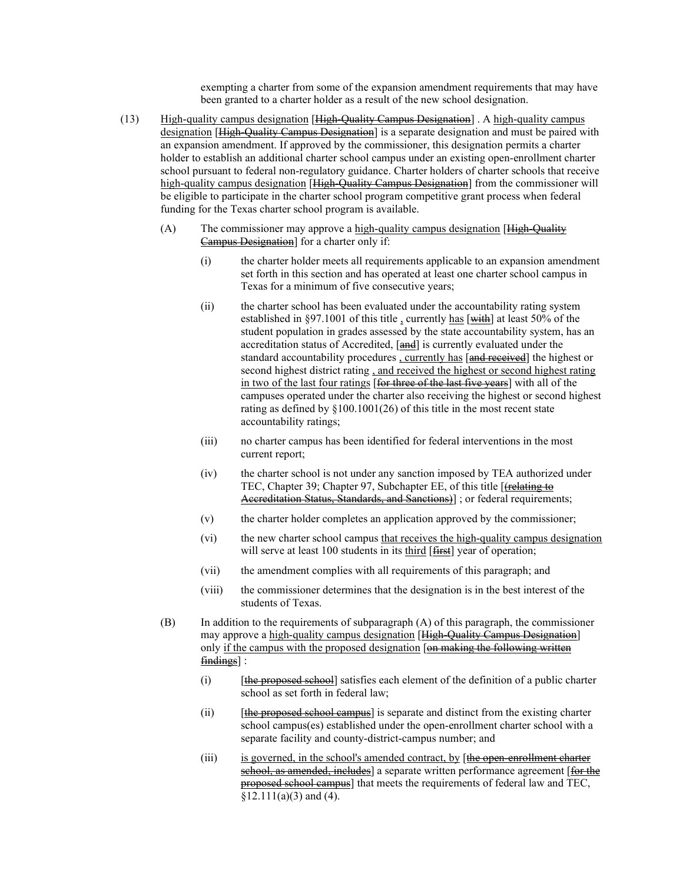exempting a charter from some of the expansion amendment requirements that may have been granted to a charter holder as a result of the new school designation.

- (13) High-quality campus designation [High-Quality Campus Designation] . A high-quality campus designation [High-Quality Campus Designation] is a separate designation and must be paired with an expansion amendment. If approved by the commissioner, this designation permits a charter holder to establish an additional charter school campus under an existing open-enrollment charter school pursuant to federal non-regulatory guidance. Charter holders of charter schools that receive high-quality campus designation [High-Quality Campus Designation] from the commissioner will be eligible to participate in the charter school program competitive grant process when federal funding for the Texas charter school program is available.
	- $(A)$  The commissioner may approve a high-quality campus designation [High-Quality] Campus Designation] for a charter only if:
		- (i) the charter holder meets all requirements applicable to an expansion amendment set forth in this section and has operated at least one charter school campus in Texas for a minimum of five consecutive years;
		- (ii) the charter school has been evaluated under the accountability rating system established in §97.1001 of this title, currently has  $\frac{with}{}$  at least 50% of the student population in grades assessed by the state accountability system, has an accreditation status of Accredited, [and] is currently evaluated under the standard accountability procedures, currently has [and received] the highest or second highest district rating , and received the highest or second highest rating in two of the last four ratings [for three of the last five years] with all of the campuses operated under the charter also receiving the highest or second highest rating as defined by  $\S 100.1001(26)$  of this title in the most recent state accountability ratings;
		- (iii) no charter campus has been identified for federal interventions in the most current report;
		- (iv) the charter school is not under any sanction imposed by TEA authorized under TEC, Chapter 39; Chapter 97, Subchapter EE, of this title [<del>(relating to</del> Accreditation Status, Standards, and Sanctions)]; or federal requirements;
		- (v) the charter holder completes an application approved by the commissioner;
		- (vi) the new charter school campus that receives the high-quality campus designation will serve at least 100 students in its third [first] year of operation;
		- (vii) the amendment complies with all requirements of this paragraph; and
		- (viii) the commissioner determines that the designation is in the best interest of the students of Texas.
	- (B) In addition to the requirements of subparagraph (A) of this paragraph, the commissioner may approve a high-quality campus designation [High-Quality Campus Designation] only if the campus with the proposed designation [on making the following written findings] :
		- (i)  $[the$  proposed school satisfies each element of the definition of a public charter school as set forth in federal law;
		- (ii) [the proposed school campus] is separate and distinct from the existing charter school campus(es) established under the open-enrollment charter school with a separate facility and county-district-campus number; and
		- (iii) is governed, in the school's amended contract, by [the open-enrollment charter school, as amended, includes] a separate written performance agreement [for the proposed school campus] that meets the requirements of federal law and TEC,  $§12.111(a)(3)$  and (4).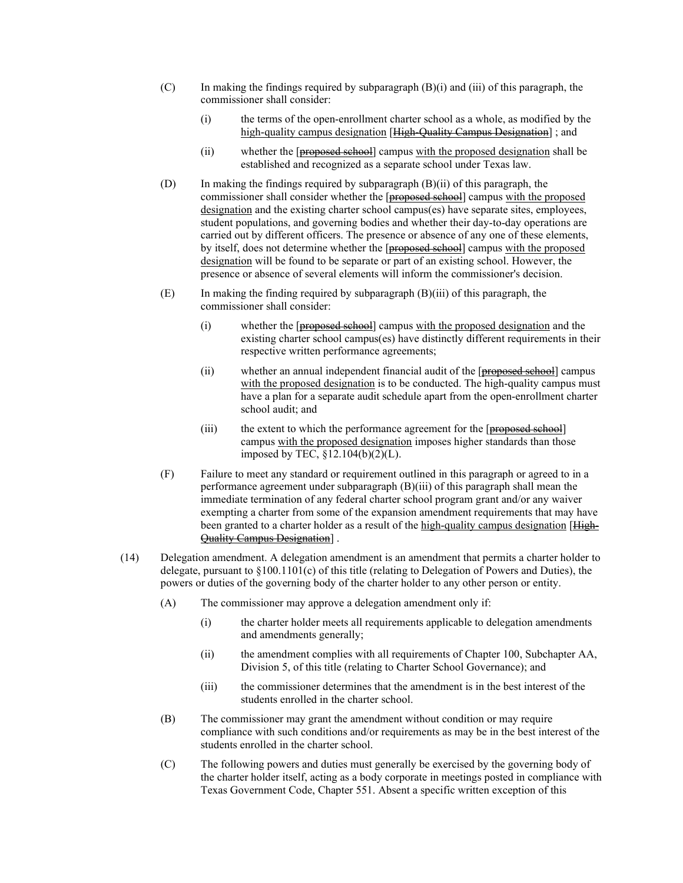- (C) In making the findings required by subparagraph (B)(i) and (iii) of this paragraph, the commissioner shall consider:
	- (i) the terms of the open-enrollment charter school as a whole, as modified by the high-quality campus designation [High-Quality Campus Designation] ; and
	- (ii) whether the [proposed school] campus with the proposed designation shall be established and recognized as a separate school under Texas law.
- (D) In making the findings required by subparagraph (B)(ii) of this paragraph, the commissioner shall consider whether the [proposed school] campus with the proposed designation and the existing charter school campus(es) have separate sites, employees, student populations, and governing bodies and whether their day-to-day operations are carried out by different officers. The presence or absence of any one of these elements, by itself, does not determine whether the [proposed school] campus with the proposed designation will be found to be separate or part of an existing school. However, the presence or absence of several elements will inform the commissioner's decision.
- (E) In making the finding required by subparagraph (B)(iii) of this paragraph, the commissioner shall consider:
	- (i) whether the  $[\frac{proposed \text{ school}}{s}]\text{ campus with the proposed designation and the}$ existing charter school campus(es) have distinctly different requirements in their respective written performance agreements;
	- (ii) whether an annual independent financial audit of the [proposed school] campus with the proposed designation is to be conducted. The high-quality campus must have a plan for a separate audit schedule apart from the open-enrollment charter school audit; and
	- (iii) the extent to which the performance agreement for the [proposed school] campus with the proposed designation imposes higher standards than those imposed by TEC, §12.104(b)(2)(L).
- (F) Failure to meet any standard or requirement outlined in this paragraph or agreed to in a performance agreement under subparagraph (B)(iii) of this paragraph shall mean the immediate termination of any federal charter school program grant and/or any waiver exempting a charter from some of the expansion amendment requirements that may have been granted to a charter holder as a result of the high-quality campus designation [High-Quality Campus Designation] .
- (14) Delegation amendment. A delegation amendment is an amendment that permits a charter holder to delegate, pursuant to §100.1101(c) of this title (relating to Delegation of Powers and Duties), the powers or duties of the governing body of the charter holder to any other person or entity.
	- (A) The commissioner may approve a delegation amendment only if:
		- (i) the charter holder meets all requirements applicable to delegation amendments and amendments generally;
		- (ii) the amendment complies with all requirements of Chapter 100, Subchapter AA, Division 5, of this title (relating to Charter School Governance); and
		- (iii) the commissioner determines that the amendment is in the best interest of the students enrolled in the charter school.
	- (B) The commissioner may grant the amendment without condition or may require compliance with such conditions and/or requirements as may be in the best interest of the students enrolled in the charter school.
	- (C) The following powers and duties must generally be exercised by the governing body of the charter holder itself, acting as a body corporate in meetings posted in compliance with Texas Government Code, Chapter 551. Absent a specific written exception of this